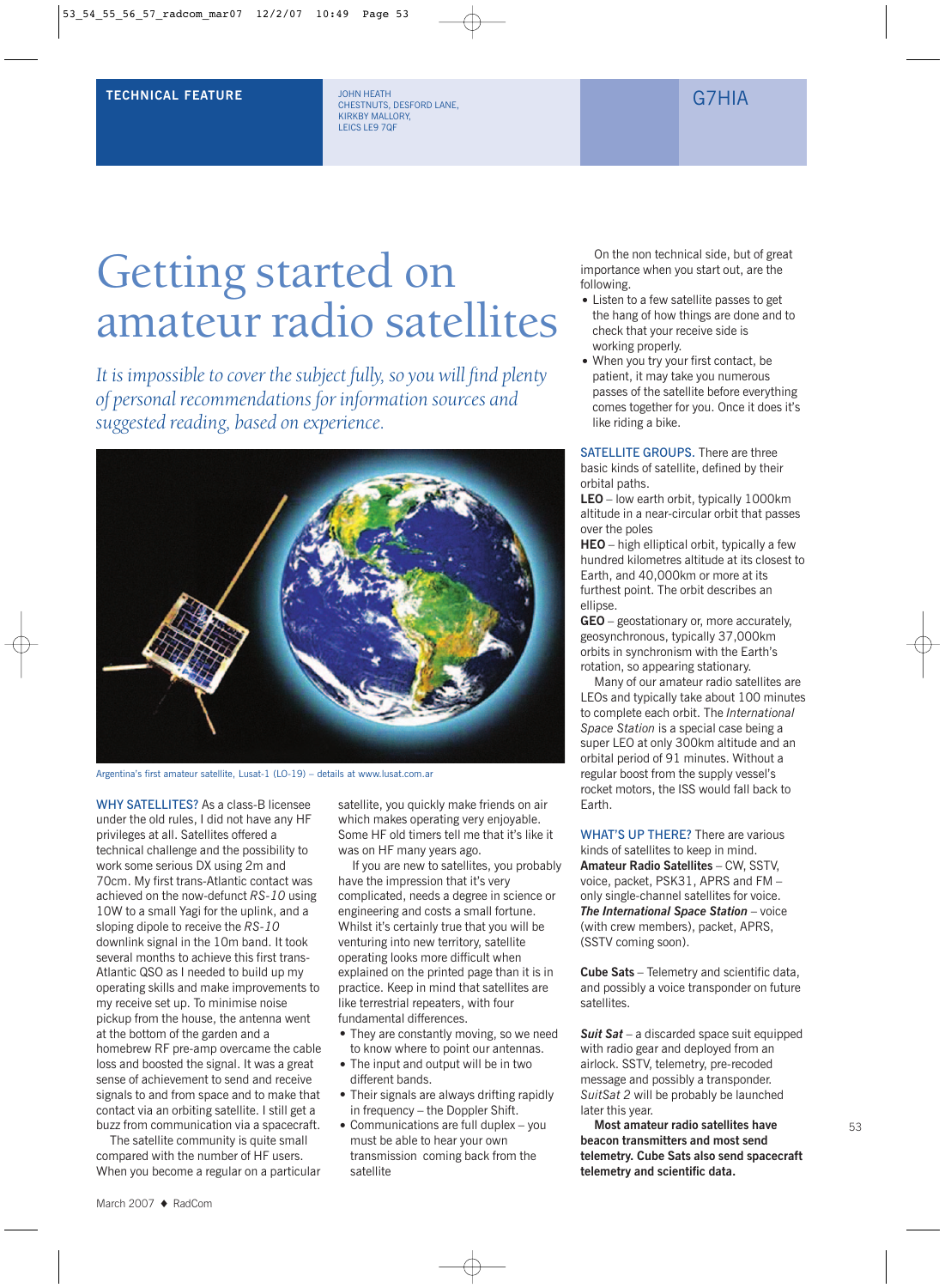## **TECHNICAL FEATURE** THE STRUCK OF STRUCK OF STRUCK OF STRUCK OF STRUCK OF STRUCK OF STRUCK OF STRUCK OF GALLERY

JOHN HEATH CHESTNUTS, DESFORD LANE, KIRKBY MALLORY, LEICS LE9 7QF

# Getting started on amateur radio satellites

*It is impossible to cover the subject fully, so you will find plenty of personal recommendations for information sources and suggested reading, based on experience.*



Argentina's first amateur satellite, Lusat-1 (LO-19) – details at www.lusat.com.ar

WHY SATELLITES? As a class-B licensee under the old rules, I did not have any HF privileges at all. Satellites offered a technical challenge and the possibility to work some serious DX using 2m and 70cm. My first trans-Atlantic contact was achieved on the now-defunct *RS-10* using 10W to a small Yagi for the uplink, and a sloping dipole to receive the *RS-10* downlink signal in the 10m band. It took several months to achieve this first trans-Atlantic QSO as I needed to build up my operating skills and make improvements to my receive set up. To minimise noise pickup from the house, the antenna went at the bottom of the garden and a homebrew RF pre-amp overcame the cable loss and boosted the signal. It was a great sense of achievement to send and receive signals to and from space and to make that contact via an orbiting satellite. I still get a buzz from communication via a spacecraft.

The satellite community is quite small compared with the number of HF users. When you become a regular on a particular satellite, you quickly make friends on air which makes operating very enjoyable. Some HF old timers tell me that it's like it was on HF many years ago.

If you are new to satellites, you probably have the impression that it's very complicated, needs a degree in science or engineering and costs a small fortune. Whilst it's certainly true that you will be venturing into new territory, satellite operating looks more difficult when explained on the printed page than it is in practice. Keep in mind that satellites are like terrestrial repeaters, with four fundamental differences.

- They are constantly moving, so we need
- to know where to point our antennas. • The input and output will be in two different bands.
- Their signals are always drifting rapidly in frequency – the Doppler Shift.
- Communications are full duplex you must be able to hear your own transmission coming back from the satellite

On the non technical side, but of great importance when you start out, are the following.

- Listen to a few satellite passes to get the hang of how things are done and to check that your receive side is working properly.
- When you try your first contact, be patient, it may take you numerous passes of the satellite before everything comes together for you. Once it does it's like riding a bike.

#### SATELLITE GROUPS. There are three basic kinds of satellite, defined by their orbital paths.

**LEO** – low earth orbit, typically 1000km altitude in a near-circular orbit that passes over the poles

**HEO** – high elliptical orbit, typically a few hundred kilometres altitude at its closest to Earth, and 40,000km or more at its furthest point. The orbit describes an ellipse.

**GEO** – geostationary or, more accurately, geosynchronous, typically 37,000km orbits in synchronism with the Earth's rotation, so appearing stationary.

Many of our amateur radio satellites are LEOs and typically take about 100 minutes to complete each orbit. The *International Space Station* is a special case being a super LEO at only 300km altitude and an orbital period of 91 minutes. Without a regular boost from the supply vessel's rocket motors, the ISS would fall back to Earth.

WHAT'S UP THERE? There are various kinds of satellites to keep in mind. **Amateur Radio Satellites** – CW, SSTV, voice, packet, PSK31, APRS and FM – only single-channel satellites for voice. *The International Space Station* – voice (with crew members), packet, APRS, (SSTV coming soon).

**Cube Sats** – Telemetry and scientific data, and possibly a voice transponder on future satellites.

*Suit Sat* – a discarded space suit equipped with radio gear and deployed from an airlock. SSTV, telemetry, pre-recoded message and possibly a transponder. *SuitSat 2* will be probably be launched later this year.

**Most amateur radio satellites have beacon transmitters and most send telemetry. Cube Sats also send spacecraft telemetry and scientific data.**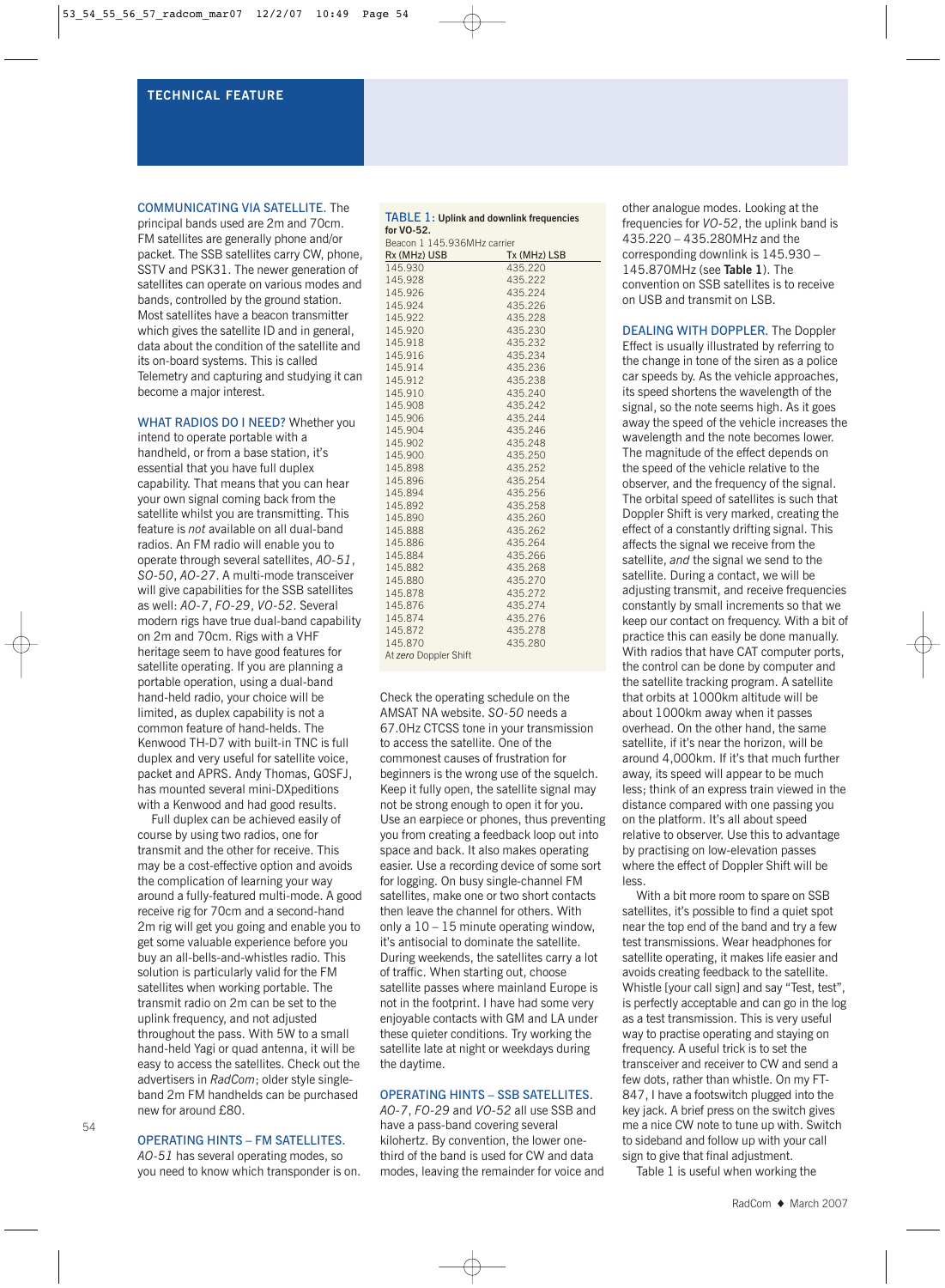#### **TECHNICAL FEATURE**

#### COMMUNICATING VIA SATELLITE. The

principal bands used are 2m and 70cm. FM satellites are generally phone and/or packet. The SSB satellites carry CW, phone, SSTV and PSK31. The newer generation of satellites can operate on various modes and bands, controlled by the ground station. Most satellites have a beacon transmitter which gives the satellite ID and in general, data about the condition of the satellite and its on-board systems. This is called Telemetry and capturing and studying it can become a major interest.

WHAT RADIOS DO I NEED? Whether you intend to operate portable with a handheld, or from a base station, it's essential that you have full duplex capability. That means that you can hear your own signal coming back from the satellite whilst you are transmitting. This feature is *not* available on all dual-band radios. An FM radio will enable you to operate through several satellites, *AO-51*, *SO-50*, *AO-27*. A multi-mode transceiver will give capabilities for the SSB satellites as well: *AO-7*, *FO-29*, *VO-52*. Several modern rigs have true dual-band capability on 2m and 70cm. Rigs with a VHF heritage seem to have good features for satellite operating. If you are planning a portable operation, using a dual-band hand-held radio, your choice will be limited, as duplex capability is not a common feature of hand-helds. The Kenwood TH-D7 with built-in TNC is full duplex and very useful for satellite voice, packet and APRS. Andy Thomas, G0SFJ, has mounted several mini-DXpeditions with a Kenwood and had good results.

Full duplex can be achieved easily of course by using two radios, one for transmit and the other for receive. This may be a cost-effective option and avoids the complication of learning your way around a fully-featured multi-mode. A good receive rig for 70cm and a second-hand 2m rig will get you going and enable you to get some valuable experience before you buy an all-bells-and-whistles radio. This solution is particularly valid for the FM satellites when working portable. The transmit radio on 2m can be set to the uplink frequency, and not adjusted throughout the pass. With 5W to a small hand-held Yagi or quad antenna, it will be easy to access the satellites. Check out the advertisers in *RadCom*; older style singleband 2m FM handhelds can be purchased new for around £80.

#### OPERATING HINTS – FM SATELLITES.

*AO-51* has several operating modes, so you need to know which transponder is on.

#### TABLE 1: **Uplink and downlink frequencies for VO-52.**

| Beacon 1 145.936MHz carrier |              |  |  |  |
|-----------------------------|--------------|--|--|--|
| Rx (MHz) USB                | Tx (MHz) LSB |  |  |  |
| 145.930                     | 435.220      |  |  |  |
| 145.928                     | 435.222      |  |  |  |
| 145.926                     | 435.224      |  |  |  |
| 145.924                     | 435.226      |  |  |  |
| 145.922                     | 435.228      |  |  |  |
| 145.920                     | 435.230      |  |  |  |
| 145.918                     | 435.232      |  |  |  |
| 145.916                     | 435.234      |  |  |  |
| 145.914                     | 435.236      |  |  |  |
| 145.912                     | 435.238      |  |  |  |
| 145.910                     | 435.240      |  |  |  |
| 145.908                     | 435.242      |  |  |  |
| 145.906                     | 435.244      |  |  |  |
| 145.904                     | 435.246      |  |  |  |
| 145.902                     | 435.248      |  |  |  |
| 145.900                     | 435.250      |  |  |  |
| 145.898                     | 435.252      |  |  |  |
| 145.896                     | 435.254      |  |  |  |
| 145.894                     | 435.256      |  |  |  |
| 145.892                     | 435.258      |  |  |  |
| 145.890                     | 435.260      |  |  |  |
| 145.888                     | 435.262      |  |  |  |
| 145.886                     | 435.264      |  |  |  |
| 145.884                     | 435.266      |  |  |  |
| 145.882                     | 435.268      |  |  |  |
| 145.880                     | 435.270      |  |  |  |
| 145.878                     | 435.272      |  |  |  |
| 145.876                     | 435.274      |  |  |  |
| 145.874                     | 435.276      |  |  |  |
| 145.872                     | 435.278      |  |  |  |
| 145.870                     | 435.280      |  |  |  |
| At zero Doppler Shift       |              |  |  |  |

Check the operating schedule on the AMSAT NA website. *SO-50* needs a 67.0Hz CTCSS tone in your transmission to access the satellite. One of the commonest causes of frustration for beginners is the wrong use of the squelch. Keep it fully open, the satellite signal may not be strong enough to open it for you. Use an earpiece or phones, thus preventing you from creating a feedback loop out into space and back. It also makes operating easier. Use a recording device of some sort for logging. On busy single-channel FM satellites, make one or two short contacts then leave the channel for others. With only a  $10 - 15$  minute operating window, it's antisocial to dominate the satellite. During weekends, the satellites carry a lot of traffic. When starting out, choose satellite passes where mainland Europe is not in the footprint. I have had some very enjoyable contacts with GM and LA under these quieter conditions. Try working the satellite late at night or weekdays during the daytime.

#### OPERATING HINTS – SSB SATELLITES.

*AO-7*, *FO-29* and *VO-52* all use SSB and have a pass-band covering several kilohertz. By convention, the lower onethird of the band is used for CW and data modes, leaving the remainder for voice and

other analogue modes. Looking at the frequencies for *VO-52*, the uplink band is 435.220 – 435.280MHz and the corresponding downlink is 145.930 – 145.870MHz (see **Table 1**). The convention on SSB satellites is to receive on USB and transmit on LSB.

DEALING WITH DOPPLER. The Doppler Effect is usually illustrated by referring to the change in tone of the siren as a police car speeds by. As the vehicle approaches, its speed shortens the wavelength of the signal, so the note seems high. As it goes away the speed of the vehicle increases the wavelength and the note becomes lower. The magnitude of the effect depends on the speed of the vehicle relative to the observer, and the frequency of the signal. The orbital speed of satellites is such that Doppler Shift is very marked, creating the effect of a constantly drifting signal. This affects the signal we receive from the satellite, *and* the signal we send to the satellite. During a contact, we will be adjusting transmit, and receive frequencies constantly by small increments so that we keep our contact on frequency. With a bit of practice this can easily be done manually. With radios that have CAT computer ports, the control can be done by computer and the satellite tracking program. A satellite that orbits at 1000km altitude will be about 1000km away when it passes overhead. On the other hand, the same satellite, if it's near the horizon, will be around 4,000km. If it's that much further away, its speed will appear to be much less; think of an express train viewed in the distance compared with one passing you on the platform. It's all about speed relative to observer. Use this to advantage by practising on low-elevation passes where the effect of Doppler Shift will be less.

With a bit more room to spare on SSB satellites, it's possible to find a quiet spot near the top end of the band and try a few test transmissions. Wear headphones for satellite operating, it makes life easier and avoids creating feedback to the satellite. Whistle [your call sign] and say "Test, test", is perfectly acceptable and can go in the log as a test transmission. This is very useful way to practise operating and staying on frequency. A useful trick is to set the transceiver and receiver to CW and send a few dots, rather than whistle. On my FT-847, I have a footswitch plugged into the key jack. A brief press on the switch gives me a nice CW note to tune up with. Switch to sideband and follow up with your call sign to give that final adjustment.

Table 1 is useful when working the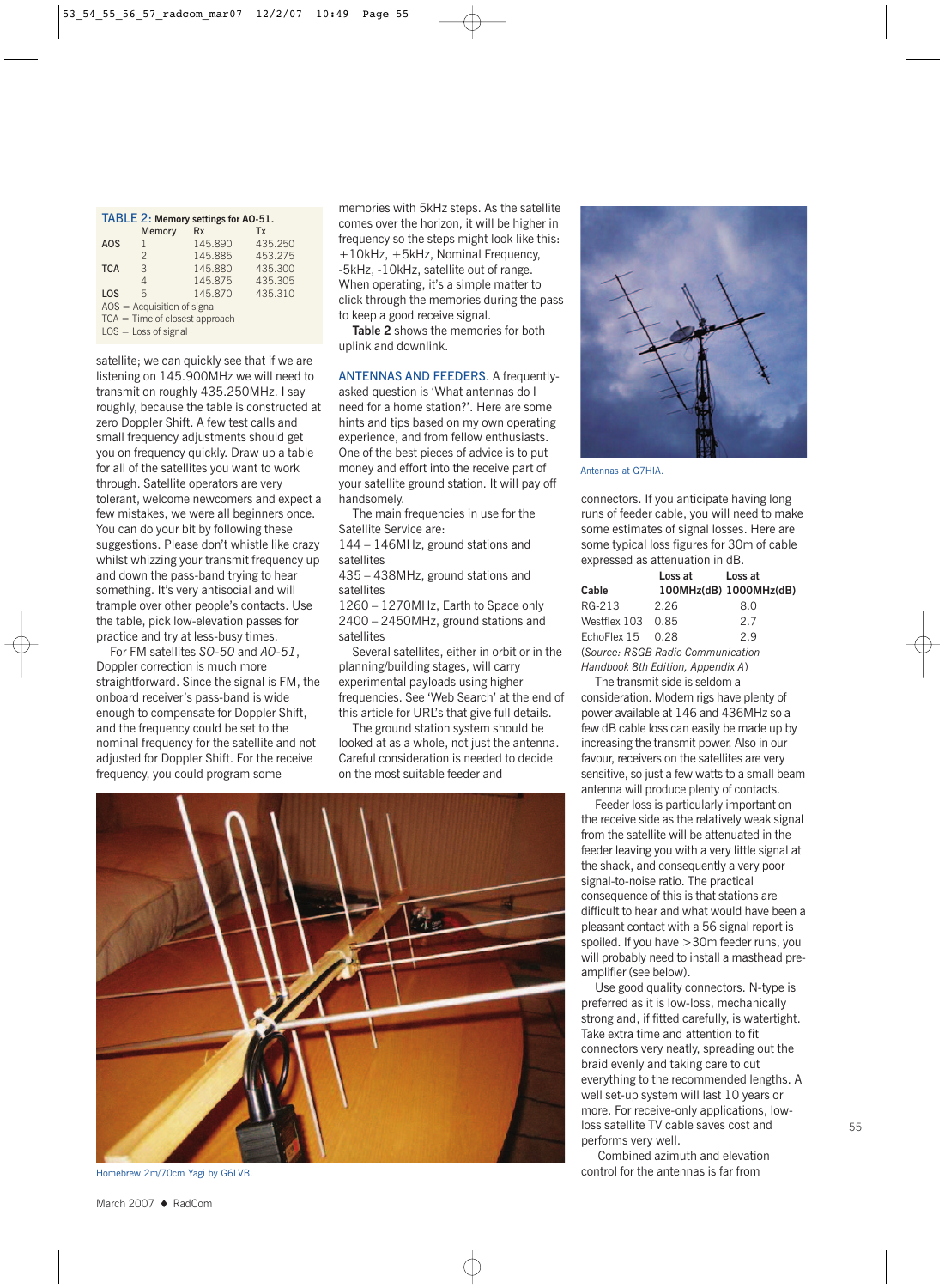| TABLE 2: Memory settings for AO-51. |                |            |         |  |
|-------------------------------------|----------------|------------|---------|--|
|                                     | Memory         | <b>R</b> x | Tx      |  |
| AOS                                 |                | 145.890    | 435.250 |  |
|                                     | $\mathfrak{D}$ | 145.885    | 453.275 |  |
| <b>TCA</b>                          | 3              | 145.880    | 435.300 |  |
|                                     | 4              | 145.875    | 435.305 |  |
| LOS                                 | 5              | 145.870    | 435.310 |  |
| $AOS = Acquisition of signal$       |                |            |         |  |
| $TCA = Time of closest approach$    |                |            |         |  |
| $LOS = Loss of signal$              |                |            |         |  |

satellite; we can quickly see that if we are listening on 145.900MHz we will need to transmit on roughly 435.250MHz. I say roughly, because the table is constructed at zero Doppler Shift. A few test calls and small frequency adjustments should get you on frequency quickly. Draw up a table for all of the satellites you want to work through. Satellite operators are very tolerant, welcome newcomers and expect a few mistakes, we were all beginners once. You can do your bit by following these suggestions. Please don't whistle like crazy whilst whizzing your transmit frequency up and down the pass-band trying to hear something. It's very antisocial and will trample over other people's contacts. Use the table, pick low-elevation passes for practice and try at less-busy times.

For FM satellites *SO-50* and *AO-51*, Doppler correction is much more straightforward. Since the signal is FM, the onboard receiver's pass-band is wide enough to compensate for Doppler Shift, and the frequency could be set to the nominal frequency for the satellite and not adjusted for Doppler Shift. For the receive frequency, you could program some

memories with 5kHz steps. As the satellite comes over the horizon, it will be higher in frequency so the steps might look like this: +10kHz, +5kHz, Nominal Frequency, -5kHz, -10kHz, satellite out of range. When operating, it's a simple matter to click through the memories during the pass to keep a good receive signal.

**Table 2** shows the memories for both uplink and downlink.

ANTENNAS AND FEEDERS. A frequentlyasked question is 'What antennas do I need for a home station?'. Here are some hints and tips based on my own operating experience, and from fellow enthusiasts. One of the best pieces of advice is to put money and effort into the receive part of your satellite ground station. It will pay off handsomely.

The main frequencies in use for the Satellite Service are:

144 – 146MHz, ground stations and satellites

435 – 438MHz, ground stations and satellites

1260 – 1270MHz, Earth to Space only 2400 – 2450MHz, ground stations and satellites

Several satellites, either in orbit or in the planning/building stages, will carry experimental payloads using higher frequencies. See 'Web Search' at the end of this article for URL's that give full details.

The ground station system should be looked at as a whole, not just the antenna. Careful consideration is needed to decide on the most suitable feeder and



Homebrew 2m/70cm Yagi by G6LVB.

Antennas at G7HIA.

connectors. If you anticipate having long runs of feeder cable, you will need to make some estimates of signal losses. Here are some typical loss figures for 30m of cable expressed as attenuation in dB.

|                                   | Loss at | Loss at                |  |  |
|-----------------------------------|---------|------------------------|--|--|
| Cable                             |         | 100MHz(dB) 1000MHz(dB) |  |  |
| RG-213                            | 2.26    | 8.0                    |  |  |
| Westflex 103 0.85                 |         | 2.7                    |  |  |
| EchoFlex $15$ 0.28                |         | 2.9                    |  |  |
| (Source: RSGB Radio Communication |         |                        |  |  |
| Handbook 8th Edition, Appendix A) |         |                        |  |  |

The transmit side is seldom a consideration. Modern rigs have plenty of power available at 146 and 436MHz so a few dB cable loss can easily be made up by increasing the transmit power. Also in our favour, receivers on the satellites are very sensitive, so just a few watts to a small beam antenna will produce plenty of contacts.

Feeder loss is particularly important on the receive side as the relatively weak signal from the satellite will be attenuated in the feeder leaving you with a very little signal at the shack, and consequently a very poor signal-to-noise ratio. The practical consequence of this is that stations are difficult to hear and what would have been a pleasant contact with a 56 signal report is spoiled. If you have >30m feeder runs, you will probably need to install a masthead preamplifier (see below).

Use good quality connectors. N-type is preferred as it is low-loss, mechanically strong and, if fitted carefully, is watertight. Take extra time and attention to fit connectors very neatly, spreading out the braid evenly and taking care to cut everything to the recommended lengths. A well set-up system will last 10 years or more. For receive-only applications, lowloss satellite TV cable saves cost and performs very well.

Combined azimuth and elevation control for the antennas is far from

March 2007 ♦ RadCom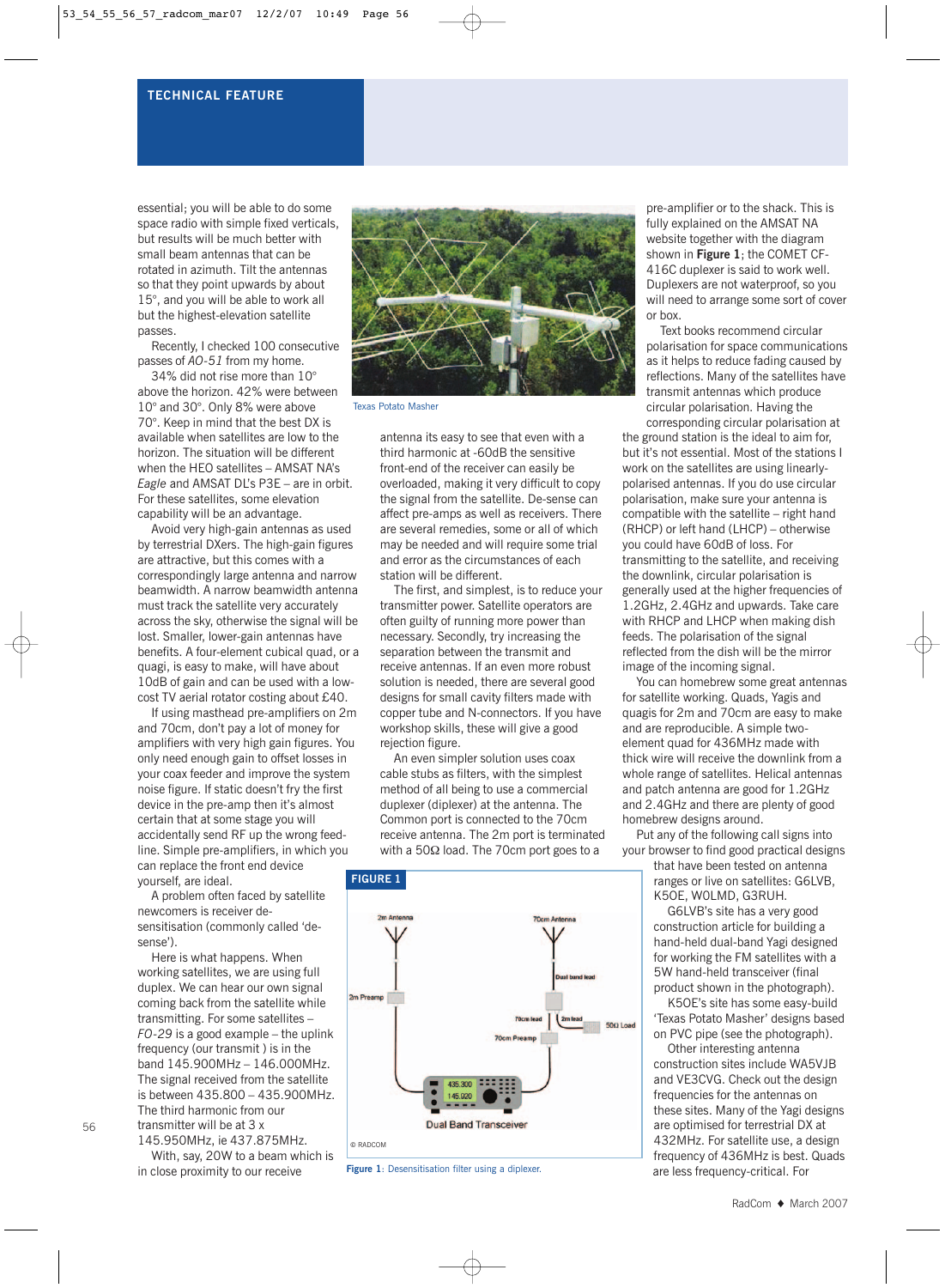#### **TECHNICAL FEATURE**

essential; you will be able to do some space radio with simple fixed verticals, but results will be much better with small beam antennas that can be rotated in azimuth. Tilt the antennas so that they point upwards by about 15°, and you will be able to work all but the highest-elevation satellite passes.

Recently, I checked 100 consecutive passes of *AO-51* from my home.

34% did not rise more than 10° above the horizon. 42% were between 10° and 30°. Only 8% were above 70°. Keep in mind that the best DX is available when satellites are low to the horizon. The situation will be different when the HEO satellites – AMSAT NA's *Eagle* and AMSAT DL's P3E – are in orbit. For these satellites, some elevation capability will be an advantage.

Avoid very high-gain antennas as used by terrestrial DXers. The high-gain figures are attractive, but this comes with a correspondingly large antenna and narrow beamwidth. A narrow beamwidth antenna must track the satellite very accurately across the sky, otherwise the signal will be lost. Smaller, lower-gain antennas have benefits. A four-element cubical quad, or a quagi, is easy to make, will have about 10dB of gain and can be used with a lowcost TV aerial rotator costing about £40.

If using masthead pre-amplifiers on 2m and 70cm, don't pay a lot of money for amplifiers with very high gain figures. You only need enough gain to offset losses in your coax feeder and improve the system noise figure. If static doesn't fry the first device in the pre-amp then it's almost certain that at some stage you will accidentally send RF up the wrong feedline. Simple pre-amplifiers, in which you can replace the front end device yourself, are ideal.

A problem often faced by satellite newcomers is receiver desensitisation (commonly called 'desense').

Here is what happens. When working satellites, we are using full duplex. We can hear our own signal coming back from the satellite while transmitting. For some satellites – *FO-29* is a good example – the uplink frequency (our transmit ) is in the band 145.900MHz – 146.000MHz. The signal received from the satellite is between 435.800 – 435.900MHz. The third harmonic from our transmitter will be at 3 x

145.950MHz, ie 437.875MHz. With, say, 20W to a beam which is in close proximity to our receive



Texas Potato Masher

antenna its easy to see that even with a third harmonic at -60dB the sensitive front-end of the receiver can easily be overloaded, making it very difficult to copy the signal from the satellite. De-sense can affect pre-amps as well as receivers. There are several remedies, some or all of which may be needed and will require some trial and error as the circumstances of each station will be different.

The first, and simplest, is to reduce your transmitter power. Satellite operators are often guilty of running more power than necessary. Secondly, try increasing the separation between the transmit and receive antennas. If an even more robust solution is needed, there are several good designs for small cavity filters made with copper tube and N-connectors. If you have workshop skills, these will give a good rejection figure.

An even simpler solution uses coax cable stubs as filters, with the simplest method of all being to use a commercial duplexer (diplexer) at the antenna. The Common port is connected to the 70cm receive antenna. The 2m port is terminated with a 50Ω load. The 70cm port goes to a



**Figure 1**: Desensitisation filter using a diplexer.

pre-amplifier or to the shack. This is fully explained on the AMSAT NA website together with the diagram shown in **Figure 1**; the COMET CF-416C duplexer is said to work well. Duplexers are not waterproof, so you will need to arrange some sort of cover or box.

Text books recommend circular polarisation for space communications as it helps to reduce fading caused by reflections. Many of the satellites have transmit antennas which produce circular polarisation. Having the corresponding circular polarisation at

the ground station is the ideal to aim for, but it's not essential. Most of the stations I work on the satellites are using linearlypolarised antennas. If you do use circular polarisation, make sure your antenna is compatible with the satellite – right hand (RHCP) or left hand (LHCP) – otherwise you could have 60dB of loss. For transmitting to the satellite, and receiving the downlink, circular polarisation is generally used at the higher frequencies of 1.2GHz, 2.4GHz and upwards. Take care with RHCP and LHCP when making dish feeds. The polarisation of the signal reflected from the dish will be the mirror image of the incoming signal.

You can homebrew some great antennas for satellite working. Quads, Yagis and quagis for 2m and 70cm are easy to make and are reproducible. A simple twoelement quad for 436MHz made with thick wire will receive the downlink from a whole range of satellites. Helical antennas and patch antenna are good for 1.2GHz and 2.4GHz and there are plenty of good homebrew designs around.

Put any of the following call signs into your browser to find good practical designs

that have been tested on antenna ranges or live on satellites: G6LVB, K5OE, W0LMD, G3RUH.

G6LVB's site has a very good construction article for building a hand-held dual-band Yagi designed for working the FM satellites with a 5W hand-held transceiver (final product shown in the photograph).

K5OE's site has some easy-build 'Texas Potato Masher' designs based on PVC pipe (see the photograph).

Other interesting antenna construction sites include WA5VJB and VE3CVG. Check out the design frequencies for the antennas on these sites. Many of the Yagi designs are optimised for terrestrial DX at 432MHz. For satellite use, a design frequency of 436MHz is best. Quads are less frequency-critical. For